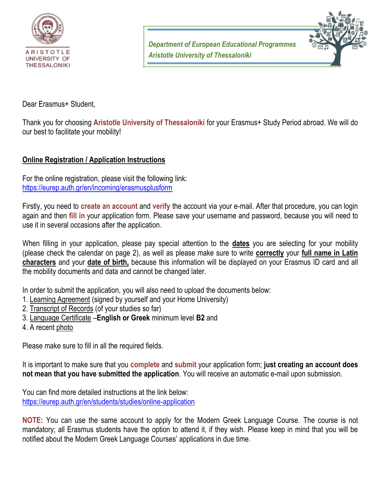

*Department of European Educational Programmes Aristotle University of Thessaloniki*



Dear Erasmus+ Student,

Thank you for choosing **Aristotle University of Thessaloniki** for your Erasmus+ Study Period abroad. We will do our best to facilitate your mobility!

#### **Online Registration / Application Instructions**

For the online registration, please visit the following link: <https://eurep.auth.gr/en/incoming/erasmusplusform>

Firstly, you need to **create an account** and **verify** the account via your e-mail. After that procedure, you can login again and then **fill in** your application form. Please save your username and password, because you will need to use it in several occasions after the application.

When filling in your application, please pay special attention to the **dates** you are selecting for your mobility (please check the calendar on page 2), as well as please make sure to write **correctly** your **full name in Latin characters** and your **date of birth,** because this information will be displayed on your Erasmus ID card and all the mobility documents and data and cannot be changed later.

In order to submit the application, you will also need to upload the documents below:

- 1. Learning Agreement (signed by yourself and your Home University)
- 2. Transcript of Records (of your studies so far)
- 3. Language Certificate –**English or Greek** minimum level **B2** and
- 4. A recent photo

Please make sure to fill in all the required fields.

It is important to make sure that you **complete** and **submit** your application form; **just creating an account does not mean that you have submitted the application**. You will receive an automatic e-mail upon submission.

You can find more detailed instructions at the link below: <https://eurep.auth.gr/en/students/studies/online-application>

**NOTE:** You can use the same account to apply for the Modern Greek Language Course. The course is not mandatory; all Erasmus students have the option to attend it, if they wish. Please keep in mind that you will be notified about the Modern Greek Language Courses' applications in due time.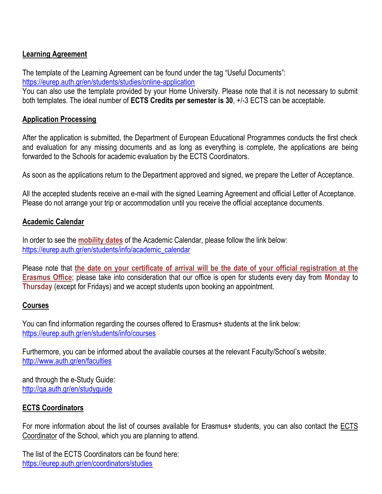## **Learning Agreement**

The template of the Learning Agreement can be found under the tag "Useful Documents":

<https://eurep.auth.gr/en/students/studies/online-application>

You can also use the template provided by your Home University. Please note that it is not necessary to submit both templates. The ideal number of **ECTS Credits per semester is 30**, +/-3 ECTS can be acceptable.

#### **Application Processing**

After the application is submitted, the Department of European Educational Programmes conducts the first check and evaluation for any missing documents and as long as everything is complete, the applications are being forwarded to the Schools for academic evaluation by the ECTS Coordinators.

As soon as the applications return to the Department approved and signed, we prepare the Letter of Acceptance.

All the accepted students receive an e-mail with the signed Learning Agreement and official Letter of Acceptance. Please do not arrange your trip or accommodation until you receive the official acceptance documents.

#### **Academic Calendar**

In order to see the **mobility dates** of the Academic Calendar, please follow the link below: [https://eurep.auth.gr/en/students/info/academic\\_calendar](https://eurep.auth.gr/en/students/info/academic_calendar)

Please note that **the date on your certificate of arrival will be the date of your official registration at the Erasmus Office**; please take into consideration that our office is open for students every day from **Monday** to **Thursday** (except for Fridays) and we accept students upon booking an appointment.

## **Courses**

You can find information regarding the courses offered to Erasmus+ students at the link below: <https://eurep.auth.gr/en/students/info/courses>

Furthermore, you can be informed about the available courses at the relevant Faculty/School's website: <http://www.auth.gr/en/faculties>

and through the e-Study Guide: <http://qa.auth.gr/en/studyguide>

## **ECTS Coordinators**

For more information about the list of courses available for Erasmus+ students, you can also contact the ECTS Coordinator of the School, which you are planning to attend.

The list of the ECTS Coordinators can be found here: <https://eurep.auth.gr/en/coordinators/studies>